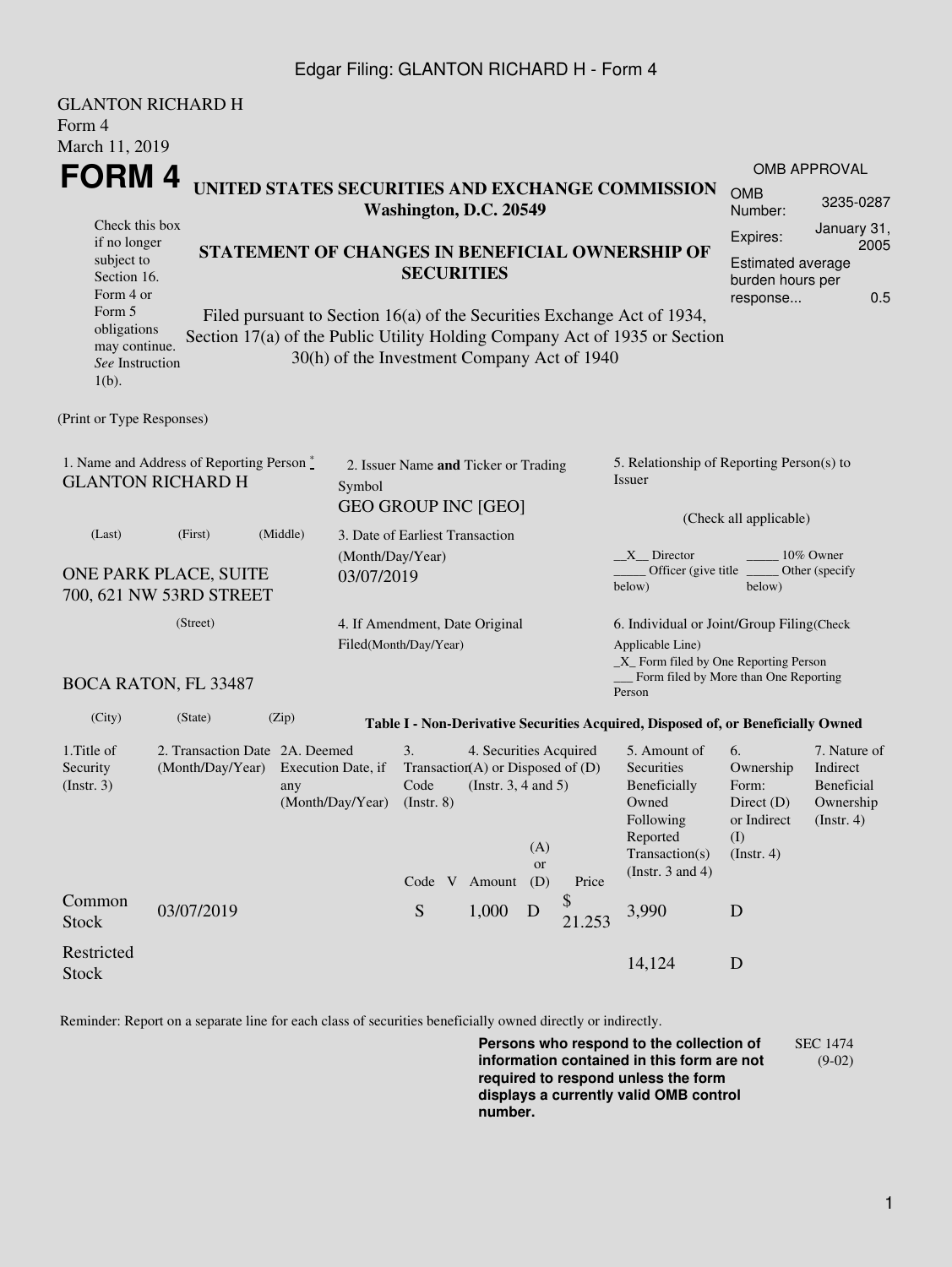### Edgar Filing: GLANTON RICHARD H - Form 4

|                                                                                 | <b>GLANTON RICHARD H</b>                               |       |                                                                                       |                                                         |                        |           |                       |                                                                                                         |                                  |                               |  |  |
|---------------------------------------------------------------------------------|--------------------------------------------------------|-------|---------------------------------------------------------------------------------------|---------------------------------------------------------|------------------------|-----------|-----------------------|---------------------------------------------------------------------------------------------------------|----------------------------------|-------------------------------|--|--|
| Form 4                                                                          |                                                        |       |                                                                                       |                                                         |                        |           |                       |                                                                                                         |                                  |                               |  |  |
| March 11, 2019                                                                  |                                                        |       |                                                                                       |                                                         |                        |           |                       |                                                                                                         |                                  |                               |  |  |
| FORM 4                                                                          |                                                        |       |                                                                                       |                                                         |                        |           | <b>OMB APPROVAL</b>   |                                                                                                         |                                  |                               |  |  |
| UNITED STATES SECURITIES AND EXCHANGE COMMISSION<br>Washington, D.C. 20549      |                                                        |       |                                                                                       |                                                         |                        |           | <b>OMB</b><br>Number: | 3235-0287                                                                                               |                                  |                               |  |  |
| Check this box                                                                  |                                                        |       |                                                                                       |                                                         |                        |           |                       |                                                                                                         | Expires:                         | January 31,                   |  |  |
| if no longer<br>subject to                                                      |                                                        |       |                                                                                       |                                                         |                        |           |                       | STATEMENT OF CHANGES IN BENEFICIAL OWNERSHIP OF                                                         | 2005<br><b>Estimated average</b> |                               |  |  |
|                                                                                 | <b>SECURITIES</b><br>Section 16.                       |       |                                                                                       |                                                         |                        |           |                       | burden hours per                                                                                        |                                  |                               |  |  |
| Form 4 or                                                                       |                                                        |       |                                                                                       |                                                         |                        |           |                       |                                                                                                         | 0.5<br>response                  |                               |  |  |
| Form 5<br>obligations                                                           |                                                        |       |                                                                                       |                                                         |                        |           |                       | Filed pursuant to Section 16(a) of the Securities Exchange Act of 1934,                                 |                                  |                               |  |  |
| may continue.                                                                   |                                                        |       |                                                                                       |                                                         |                        |           |                       | Section 17(a) of the Public Utility Holding Company Act of 1935 or Section                              |                                  |                               |  |  |
| See Instruction                                                                 |                                                        |       | 30(h) of the Investment Company Act of 1940                                           |                                                         |                        |           |                       |                                                                                                         |                                  |                               |  |  |
| $1(b)$ .                                                                        |                                                        |       |                                                                                       |                                                         |                        |           |                       |                                                                                                         |                                  |                               |  |  |
| (Print or Type Responses)                                                       |                                                        |       |                                                                                       |                                                         |                        |           |                       |                                                                                                         |                                  |                               |  |  |
|                                                                                 |                                                        |       |                                                                                       |                                                         |                        |           |                       |                                                                                                         |                                  |                               |  |  |
| 1. Name and Address of Reporting Person *<br><b>GLANTON RICHARD H</b><br>Symbol |                                                        |       |                                                                                       | 2. Issuer Name and Ticker or Trading                    |                        |           |                       | 5. Relationship of Reporting Person(s) to                                                               |                                  |                               |  |  |
|                                                                                 |                                                        |       |                                                                                       |                                                         |                        |           |                       | Issuer                                                                                                  |                                  |                               |  |  |
|                                                                                 |                                                        |       |                                                                                       | <b>GEO GROUP INC [GEO]</b>                              |                        |           |                       |                                                                                                         | (Check all applicable)           |                               |  |  |
| (Last)                                                                          | (Middle)<br>(First)<br>3. Date of Earliest Transaction |       |                                                                                       |                                                         |                        |           |                       |                                                                                                         |                                  |                               |  |  |
|                                                                                 |                                                        |       | (Month/Day/Year)                                                                      |                                                         |                        |           |                       | $X$ Director<br>10% Owner<br>Officer (give title)<br>Other (specify                                     |                                  |                               |  |  |
| ONE PARK PLACE, SUITE<br>03/07/2019<br>700, 621 NW 53RD STREET                  |                                                        |       |                                                                                       |                                                         |                        |           |                       | below)<br>below)                                                                                        |                                  |                               |  |  |
|                                                                                 |                                                        |       |                                                                                       |                                                         |                        |           |                       |                                                                                                         |                                  |                               |  |  |
| (Street)                                                                        |                                                        |       |                                                                                       | 4. If Amendment, Date Original<br>Filed(Month/Day/Year) |                        |           |                       | 6. Individual or Joint/Group Filing(Check<br>Applicable Line)<br>_X_ Form filed by One Reporting Person |                                  |                               |  |  |
|                                                                                 |                                                        |       |                                                                                       |                                                         |                        |           |                       |                                                                                                         |                                  |                               |  |  |
|                                                                                 |                                                        |       |                                                                                       |                                                         |                        |           |                       | Person                                                                                                  |                                  |                               |  |  |
| (City)                                                                          | (State)                                                | (Zip) |                                                                                       |                                                         |                        |           |                       | Table I - Non-Derivative Securities Acquired, Disposed of, or Beneficially Owned                        |                                  |                               |  |  |
| 1. Title of                                                                     | 2. Transaction Date 2A. Deemed                         |       |                                                                                       | 3.                                                      | 4. Securities Acquired |           |                       | 5. Amount of                                                                                            | 6.                               | 7. Nature of                  |  |  |
| Security<br>(Insert. 3)                                                         | (Month/Day/Year)                                       |       | Transaction(A) or Disposed of $(D)$<br>Execution Date, if<br>(Instr. $3, 4$ and $5$ ) |                                                         |                        |           |                       | Securities                                                                                              | Ownership<br>Form:               | Indirect<br><b>Beneficial</b> |  |  |
|                                                                                 |                                                        | any   | (Month/Day/Year)                                                                      | Code<br>$($ Instr. $8)$                                 |                        |           |                       | Beneficially<br>Owned                                                                                   | Direct $(D)$                     | Ownership                     |  |  |
|                                                                                 |                                                        |       |                                                                                       |                                                         |                        |           |                       | Following                                                                                               | or Indirect                      | $($ Instr. 4 $)$              |  |  |
|                                                                                 |                                                        |       |                                                                                       |                                                         |                        | (A)       |                       | Reported<br>Transaction(s)                                                                              | (I)<br>(Insert. 4)               |                               |  |  |
|                                                                                 |                                                        |       |                                                                                       |                                                         |                        | <b>or</b> |                       | (Instr. $3$ and $4$ )                                                                                   |                                  |                               |  |  |
| Common                                                                          |                                                        |       |                                                                                       | Code $V$ Amount $(D)$                                   |                        |           | Price<br>\$           |                                                                                                         |                                  |                               |  |  |
| <b>Stock</b>                                                                    | 03/07/2019                                             |       |                                                                                       | S                                                       | 1,000                  | D         | 21.253                | 3,990                                                                                                   | D                                |                               |  |  |
|                                                                                 |                                                        |       |                                                                                       |                                                         |                        |           |                       |                                                                                                         |                                  |                               |  |  |
| Restricted<br><b>Stock</b>                                                      |                                                        |       |                                                                                       |                                                         |                        |           |                       | 14,124                                                                                                  | D                                |                               |  |  |
|                                                                                 |                                                        |       |                                                                                       |                                                         |                        |           |                       |                                                                                                         |                                  |                               |  |  |

Reminder: Report on a separate line for each class of securities beneficially owned directly or indirectly.

**Persons who respond to the collection of information contained in this form are not required to respond unless the form displays a currently valid OMB control number.** SEC 1474 (9-02)